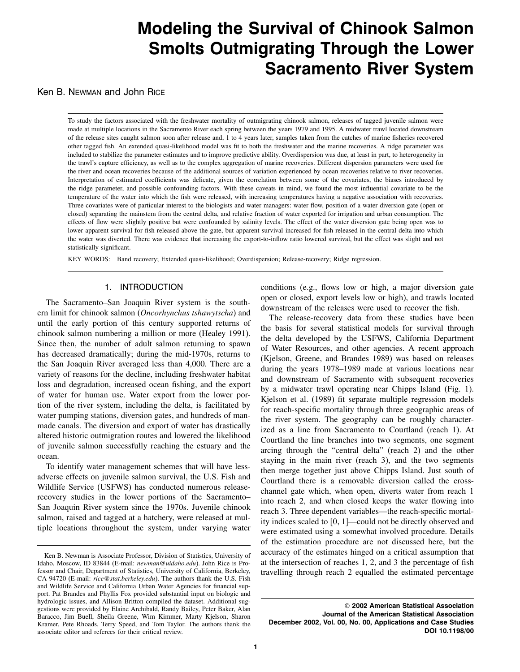# Modeling the Survival of Chinook Salmon Smolts Outmigrating Through the Lower Sacramento River System

Ken B. Newman and John Rice

To study the factors associated with the freshwater mortality of outmigrating chinook salmon, releases of tagged juvenile salmon were made at multiple locations in the Sacramento River each spring between the years 1979 and 1995. A midwater trawl located downstream of the release sites caught salmon soon after release and, 1 to 4 years later, samples taken from the catches of marine fisheries recovered other tagged fish.An extended quasi-likelihood model was fit to both the freshwater and the marine recoveries.A ridge parameter was included to stabilize the parameter estimates and to improve predictive ability.Overdispersion was due, at least in part, to heterogeneity in the trawl's capture efficiency, as well as to the complex aggregation of marine recoveries. Different dispersion parameters were used for the river and ocean recoveries because of the additional sources of variation experienced by ocean recoveries relative to river recoveries. Interpretation of estimated coefficients was delicate, given the correlation between some of the covariates, the biases introduced by the ridge parameter, and possible confounding factors. With these caveats in mind, we found the most influential covariate to be the temperature of the water into which the fish were released, with increasing temperatures having a negative association with recoveries. Three covariates were of particular interest to the biologists and water managers: water flow, position of a water diversion gate (open or closed) separating the mainstem from the central delta, and relative fraction of water exported for irrigation and urban consumption.The effects of flow were slightly positive but were confounded by salinity levels. The effect of the water diversion gate being open was to lower apparent survival for fish released above the gate, but apparent survival increased for fish released in the central delta into which the water was diverted.There was evidence that increasing the export-to-inflow ratio lowered survival, but the effect was slight and not statistically significant.

KEY WORDS: Band recovery; Extended quasi-likelihood; Overdispersion; Release-recovery; Ridge regression.

#### 1. INTRODUCTION

The Sacramento–San Joaquin River system is the southern limit for chinook salmon (Oncorhynchus tshawytscha) and until the early portion of this century supported returns of chinook salmon numbering a million or more (Healey 1991). Since then, the number of adult salmon returning to spawn has decreased dramatically; during the mid-1970s, returns to the San Joaquin River averaged less than 4,000. There are a variety of reasons for the decline, including freshwater habitat loss and degradation, increased ocean fishing, and the export of water for human use.Water export from the lower portion of the river system, including the delta, is facilitated by water pumping stations, diversion gates, and hundreds of manmade canals.The diversion and export of water has drastically altered historic outmigration routes and lowered the likelihood of juvenile salmon successfully reaching the estuary and the ocean.

To identify water management schemes that will have lessadverse effects on juvenile salmon survival, the U.S. Fish and Wildlife Service (USFWS) has conducted numerous releaserecovery studies in the lower portions of the Sacramento– San Joaquin River system since the 1970s. Juvenile chinook salmon, raised and tagged at a hatchery, were released at multiple locations throughout the system, under varying water conditions (e.g., flows low or high, a major diversion gate open or closed, export levels low or high), and trawls located downstream of the releases were used to recover the fish.

The release-recovery data from these studies have been the basis for several statistical models for survival through the delta developed by the USFWS, California Department of Water Resources, and other agencies. A recent approach (Kjelson, Greene, and Brandes 1989) was based on releases during the years 1978–1989 made at various locations near and downstream of Sacramento with subsequent recoveries by a midwater trawl operating near Chipps Island (Fig.1). Kjelson et al.(1989) fit separate multiple regression models for reach-specific mortality through three geographic areas of the river system. The geography can be roughly characterized as a line from Sacramento to Courtland (reach 1). At Courtland the line branches into two segments, one segment arcing through the "central delta" (reach 2) and the other staying in the main river (reach 3), and the two segments then merge together just above Chipps Island. Just south of Courtland there is a removable diversion called the crosschannel gate which, when open, diverts water from reach 1 into reach 2, and when closed keeps the water flowing into reach 3.Three dependent variables—the reach-specific mortality indices scaled to  $[0, 1]$ —could not be directly observed and were estimated using a somewhat involved procedure. Details of the estimation procedure are not discussed here, but the accuracy of the estimates hinged on a critical assumption that at the intersection of reaches 1, 2, and 3 the percentage of fish travelling through reach 2 equalled the estimated percentage

Ken B. Newman is Associate Professor, Division of Statistics, University of Idaho, Moscow, ID 83844 (E-mail: newman@uidaho.edu). John Rice is Professor and Chair, Department of Statistics, University of California, Berkeley, CA 94720 (E-mail: rice@stat.berkeley.edu). The authors thank the U.S. Fish and Wildlife Service and California Urban Water Agencies for financial support. Pat Brandes and Phyllis Fox provided substantial input on biologic and hydrologic issues, and Allison Britton compiled the dataset. Additional suggestions were provided by Elaine Archibald, Randy Bailey, Peter Baker, Alan Baracco, Jim Buell, Sheila Greene, Wim Kimmer, Marty Kjelson, Sharon Kramer, Pete Rhoads, Terry Speed, and Tom Taylor. The authors thank the associate editor and referees for their critical review.

<sup>©</sup> 2002 American Statistical Association Journal of the American Statistical Association December 2002, Vol. 00, No. 00, Applications and Case Studies DOI 10.1198/00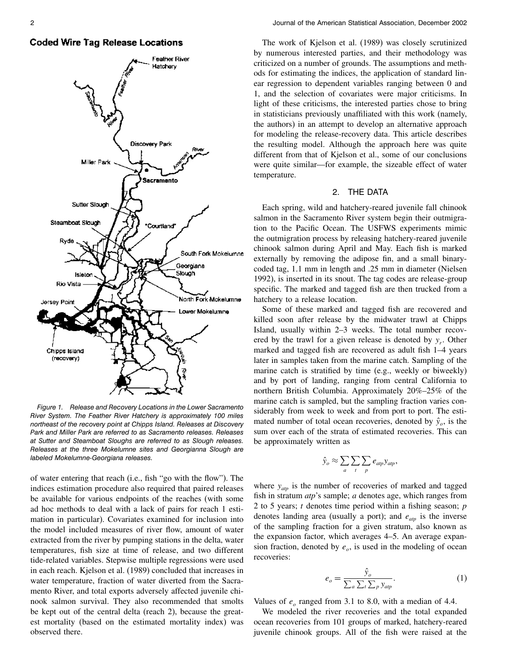## **Coded Wire Tag Release Locations**



Figure 1. Release and Recovery Locations in the Lower Sacramento River System. The Feather River Hatchery is approximately 100 miles northeast of the recovery point at Chipps Island. Releases at Discovery Park and Miller Park are referred to as Sacramento releases. Releases at Sutter and Steamboat Sloughs are referred to as Slough releases. Releases at the three Mokelumne sites and Georgianna Slough are labeled Mokelumne-Georgiana releases.

of water entering that reach (i.e., fish "go with the flow"). The indices estimation procedure also required that paired releases be available for various endpoints of the reaches (with some ad hoc methods to deal with a lack of pairs for reach 1 estimation in particular). Covariates examined for inclusion into the model included measures of river flow, amount of water extracted from the river by pumping stations in the delta, water temperatures, fish size at time of release, and two different tide-related variables. Stepwise multiple regressions were used in each reach. Kjelson et al. (1989) concluded that increases in water temperature, fraction of water diverted from the Sacramento River, and total exports adversely affected juvenile chinook salmon survival.They also recommended that smolts be kept out of the central delta (reach 2), because the greatest mortality (based on the estimated mortality index) was observed there.

The work of Kjelson et al.(1989) was closely scrutinized by numerous interested parties, and their methodology was criticized on a number of grounds.The assumptions and methods for estimating the indices, the application of standard linear regression to dependent variables ranging between 0 and 1, and the selection of covariates were major criticisms.In light of these criticisms, the interested parties chose to bring in statisticians previously unaffiliated with this work (namely, the authors) in an attempt to develop an alternative approach for modeling the release-recovery data.This article describes the resulting model.Although the approach here was quite different from that of Kjelson et al., some of our conclusions were quite similar—for example, the sizeable effect of water temperature.

#### 2. THE DATA

Each spring, wild and hatchery-reared juvenile fall chinook salmon in the Sacramento River system begin their outmigration to the Pacific Ocean. The USFWS experiments mimic the outmigration process by releasing hatchery-reared juvenile chinook salmon during April and May.Each fish is marked externally by removing the adipose fin, and a small binarycoded tag, 1.1 mm in length and .25 mm in diameter (Nielsen 1992), is inserted in its snout.The tag codes are release-group specific. The marked and tagged fish are then trucked from a hatchery to a release location.

Some of these marked and tagged fish are recovered and killed soon after release by the midwater trawl at Chipps Island, usually within 2–3 weeks. The total number recovered by the trawl for a given release is denoted by  $y_r$ . Other marked and tagged fish are recovered as adult fish 1–4 years later in samples taken from the marine catch. Sampling of the marine catch is stratified by time (e.g., weekly or biweekly) and by port of landing, ranging from central California to northern British Columbia. Approximately 20%–25% of the marine catch is sampled, but the sampling fraction varies considerably from week to week and from port to port. The estimated number of total ocean recoveries, denoted by  $\hat{y}_o$ , is the sum over each of the strata of estimated recoveries.This can be approximately written as

$$
\hat{y}_o \approx \sum_a \sum_t \sum_p e_{atp} y_{atp},
$$

where  $y_{\text{atp}}$  is the number of recoveries of marked and tagged fish in stratum *atp*'s sample; *a* denotes age, which ranges from 2 to 5 years;  $t$  denotes time period within a fishing season;  $p$ denotes landing area (usually a port); and  $e_{\alpha np}$  is the inverse of the sampling fraction for a given stratum, also known as the expansion factor, which averages 4–5.An average expansion fraction, denoted by  $e_o$ , is used in the modeling of ocean recoveries:

$$
e_o = \frac{\hat{y}_o}{\sum_a \sum_t \sum_p y_{ap}}.
$$
 (1)

Values of  $e_0$  ranged from 3.1 to 8.0, with a median of 4.4.

We modeled the river recoveries and the total expanded ocean recoveries from 101 groups of marked, hatchery-reared juvenile chinook groups.All of the fish were raised at the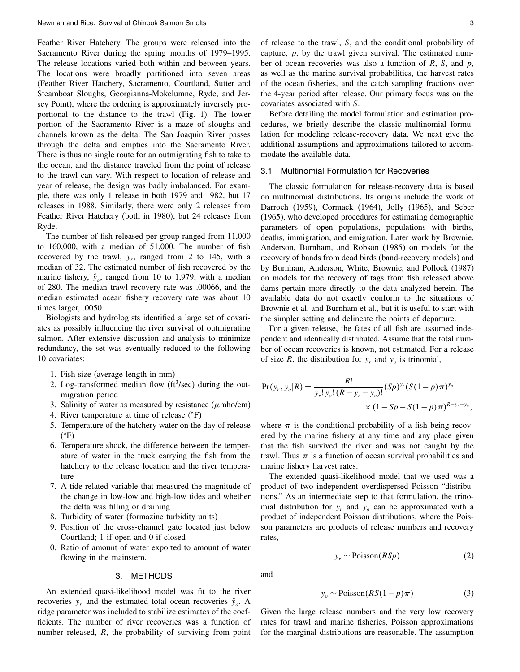Feather River Hatchery. The groups were released into the Sacramento River during the spring months of 1979–1995. The release locations varied both within and between years. The locations were broadly partitioned into seven areas (Feather River Hatchery, Sacramento, Courtland, Sutter and Steamboat Sloughs, Georgianna-Mokelumne, Ryde, and Jersey Point), where the ordering is approximately inversely proportional to the distance to the trawl (Fig.1).The lower portion of the Sacramento River is a maze of sloughs and channels known as the delta.The San Joaquin River passes through the delta and empties into the Sacramento River. There is thus no single route for an outmigrating fish to take to the ocean, and the distance traveled from the point of release to the trawl can vary.With respect to location of release and year of release, the design was badly imbalanced. For example, there was only 1 release in both 1979 and 1982, but 17 releases in 1988.Similarly, there were only 2 releases from Feather River Hatchery (both in 1980), but 24 releases from Ryde.

The number of fish released per group ranged from 11,000 to  $160,000$ , with a median of  $51,000$ . The number of fish recovered by the trawl,  $y_r$ , ranged from 2 to 145, with a median of 32.The estimated number of fish recovered by the marine fishery,  $\hat{y}_o$ , ranged from 10 to 1,979, with a median of 280.The median trawl recovery rate was .00066, and the median estimated ocean fishery recovery rate was about 10 times larger, .0050.

Biologists and hydrologists identified a large set of covariates as possibly influencing the river survival of outmigrating salmon. After extensive discussion and analysis to minimize redundancy, the set was eventually reduced to the following 10 covariates:

- 1.Fish size (average length in mm)
- 2. Log-transformed median flow  $({\rm ft}^{3}/{\rm sec})$  during the outmigration period
- 3. Salinity of water as measured by resistance  $(\mu mho/cm)$
- 4. River temperature at time of release  $(°F)$
- 5.Temperature of the hatchery water on the day of release ( F)
- 6.Temperature shock, the difference between the temperature of water in the truck carrying the fish from the hatchery to the release location and the river temperature
- 7.A tide-related variable that measured the magnitude of the change in low-low and high-low tides and whether the delta was filling or draining
- 8.Turbidity of water (formazine turbidity units)
- 9.Position of the cross-channel gate located just below Courtland; 1 if open and 0 if closed
- 10.Ratio of amount of water exported to amount of water flowing in the mainstem.

### 3. METHODS

An extended quasi-likelihood model was fit to the river recoveries  $y_r$  and the estimated total ocean recoveries  $\hat{y}_o$ . A ridge parameter was included to stabilize estimates of the coefficients.The number of river recoveries was a function of number released, R, the probability of surviving from point of release to the trawl, S, and the conditional probability of capture,  $p$ , by the trawl given survival. The estimated number of ocean recoveries was also a function of  $R$ ,  $S$ , and  $p$ , as well as the marine survival probabilities, the harvest rates of the ocean fisheries, and the catch sampling fractions over the 4-year period after release.Our primary focus was on the covariates associated with S.

Before detailing the model formulation and estimation procedures, we briefly describe the classic multinomial formulation for modeling release-recovery data.We next give the additional assumptions and approximations tailored to accommodate the available data.

## 3.1 Multinomial Formulation for Recoveries

The classic formulation for release-recovery data is based on multinomial distributions.Its origins include the work of Darroch (1959), Cormack (1964), Jolly (1965), and Seber (1965), who developed procedures for estimating demographic parameters of open populations, populations with births, deaths, immigration, and emigration.Later work by Brownie, Anderson, Burnham, and Robson (1985) on models for the recovery of bands from dead birds (band-recovery models) and by Burnham, Anderson, White, Brownie, and Pollock (1987) on models for the recovery of tags from fish released above dams pertain more directly to the data analyzed herein. The available data do not exactly conform to the situations of Brownie et al. and Burnham et al., but it is useful to start with the simpler setting and delineate the points of departure.

For a given release, the fates of all fish are assumed independent and identically distributed.Assume that the total number of ocean recoveries is known, not estimated. For a release of size R, the distribution for  $y_r$  and  $y_o$  is trinomial,

$$
Pr(y_r, y_o | R) = \frac{R!}{y_r! y_o! (R - y_r - y_o)!} (Sp)^{y_r} (S(1 - p) \pi)^{y_o}
$$
  
× (1 - Sp - S(1 - p) \pi)^{R - y\_r - y\_o},

where  $\pi$  is the conditional probability of a fish being recovered by the marine fishery at any time and any place given that the fish survived the river and was not caught by the trawl. Thus  $\pi$  is a function of ocean survival probabilities and marine fishery harvest rates.

The extended quasi-likelihood model that we used was a product of two independent overdispersed Poisson "distributions." As an intermediate step to that formulation, the trinomial distribution for  $y_r$  and  $y_o$  can be approximated with a product of independent Poisson distributions, where the Poisson parameters are products of release numbers and recovery rates,

$$
y_r \sim \text{Poisson}(RSp) \tag{2}
$$

and

$$
y_o \sim \text{Poisson}(RS(1-p)\pi) \tag{3}
$$

Given the large release numbers and the very low recovery rates for trawl and marine fisheries, Poisson approximations for the marginal distributions are reasonable.The assumption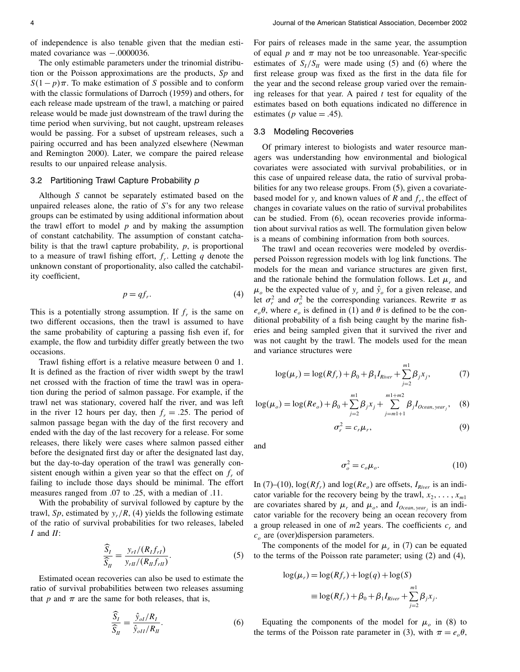of independence is also tenable given that the median estimated covariance was −.0000036.

The only estimable parameters under the trinomial distribution or the Poisson approximations are the products,  $Sp$  and  $S(1-p)\pi$ . To make estimation of S possible and to conform with the classic formulations of Darroch (1959) and others, for each release made upstream of the trawl, a matching or paired release would be made just downstream of the trawl during the time period when surviving, but not caught, upstream releases would be passing. For a subset of upstream releases, such a pairing occurred and has been analyzed elsewhere (Newman and Remington 2000).Later, we compare the paired release results to our unpaired release analysis.

## 3.2 Partitioning Trawl Capture Probability p

Although S cannot be separately estimated based on the unpaired releases alone, the ratio of S's for any two release groups can be estimated by using additional information about the trawl effort to model  $p$  and by making the assumption of constant catchability.The assumption of constant catchability is that the trawl capture probability,  $p$ , is proportional to a measure of trawl fishing effort,  $f_r$ . Letting q denote the unknown constant of proportionality, also called the catchability coefficient,

$$
p = qf_r. \tag{4}
$$

This is a potentially strong assumption. If  $f<sub>r</sub>$  is the same on two different occasions, then the trawl is assumed to have the same probability of capturing a passing fish even if, for example, the flow and turbidity differ greatly between the two occasions.

Trawl fishing effort is a relative measure between 0 and 1. It is defined as the fraction of river width swept by the trawl net crossed with the fraction of time the trawl was in operation during the period of salmon passage.For example, if the trawl net was stationary, covered half the river, and was left in the river 12 hours per day, then  $f_r = .25$ . The period of salmon passage began with the day of the first recovery and ended with the day of the last recovery for a release.For some releases, there likely were cases where salmon passed either before the designated first day or after the designated last day, but the day-to-day operation of the trawl was generally consistent enough within a given year so that the effect on  $f<sub>r</sub>$  of failing to include those days should be minimal.The effort measures ranged from .07 to .25, with a median of .11.

With the probability of survival followed by capture by the trawl, Sp, estimated by  $y_r/R$ , (4) yields the following estimate of the ratio of survival probabilities for two releases, labeled  $I$  and  $II$ :

$$
\frac{\widehat{S}_I}{\widehat{S}_H} = \frac{y_{rI}/(R_1 f_{rI})}{y_{rII}/(R_1 f_{rII})}.
$$
\n(5)

Estimated ocean recoveries can also be used to estimate the ratio of survival probabilities between two releases assuming that p and  $\pi$  are the same for both releases, that is,

$$
\frac{S_I}{\widehat{S}_{II}} = \frac{\widehat{y}_{ol}/R_I}{\widehat{y}_{olI}/R_{II}}.\tag{6}
$$

For pairs of releases made in the same year, the assumption of equal  $p$  and  $\pi$  may not be too unreasonable. Year-specific estimates of  $S_l/S_l$  were made using (5) and (6) where the first release group was fixed as the first in the data file for the year and the second release group varied over the remaining releases for that year. A paired  $t$  test for equality of the estimates based on both equations indicated no difference in estimates (*p* value  $= .45$ ).

#### 3.3 Modeling Recoveries

Of primary interest to biologists and water resource managers was understanding how environmental and biological covariates were associated with survival probabilities, or in this case of unpaired release data, the ratio of survival probabilities for any two release groups. From  $(5)$ , given a covariatebased model for  $y_r$  and known values of R and  $f_r$ , the effect of changes in covariate values on the ratio of survival probabilites can be studied. From  $(6)$ , ocean recoveries provide information about survival ratios as well.The formulation given below is a means of combining information from both sources.

The trawl and ocean recoveries were modeled by overdispersed Poisson regression models with log link functions.The models for the mean and variance structures are given first, and the rationale behind the formulation follows. Let  $\mu_r$  and  $\mu_o$  be the expected value of  $y_r$  and  $\hat{y}_o$  for a given release, and let  $\sigma_r^2$  and  $\sigma_o^2$  be the corresponding variances. Rewrite  $\pi$  as  $e_{o}\theta$ , where  $e_{o}$  is defined in (1) and  $\theta$  is defined to be the conditional probability of a fish being caught by the marine fisheries and being sampled given that it survived the river and was not caught by the trawl. The models used for the mean and variance structures were

$$
\log(\mu_r) = \log(Rf_r) + \beta_0 + \beta_1 I_{River} + \sum_{j=2}^{m} \beta_j x_j,
$$
 (7)

$$
\log(\mu_o) = \log(Re_o) + \beta_0 + \sum_{j=2}^{m_1} \beta_j x_j + \sum_{j=m_1+1}^{m_1+m_2} \beta_j I_{Ocean, year_j},
$$
 (8)

$$
\sigma_r^2 = c_r \mu_r,\tag{9}
$$

and

$$
\sigma_o^2 = c_o \mu_o. \tag{10}
$$

In (7)–(10),  $\log(Rf_r)$  and  $\log(Re_o)$  are offsets,  $I_{River}$  is an indicator variable for the recovery being by the trawl,  $x_2, \ldots, x_{m1}$ are covariates shared by  $\mu_r$  and  $\mu_o$ , and  $I_{Ocean, year_j}$  is an indicator variable for the recovery being an ocean recovery from a group released in one of  $m2$  years. The coefficients  $c_r$  and  $c<sub>o</sub>$  are (over)dispersion parameters.

The components of the model for  $\mu_r$  in (7) can be equated to the terms of the Poisson rate parameter; using (2) and (4),

$$
log(\mu_r) = log(Rf_r) + log(q) + log(S)
$$
  

$$
\equiv log(Rf_r) + \beta_0 + \beta_1 I_{River} + \sum_{j=2}^{m_1} \beta_j x_j.
$$

Equating the components of the model for  $\mu_o$  in (8) to the terms of the Poisson rate parameter in (3), with  $\pi = e_{o} \theta$ ,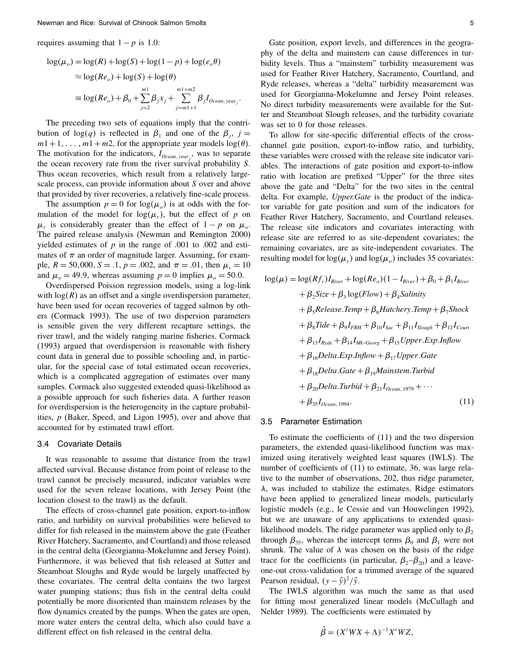requires assuming that  $1-p$  is 1.0:

$$
log(\mu_o) = log(R) + log(S) + log(1 - p) + log(e_o \theta)
$$
  
\n
$$
\approx log(Re_o) + log(S) + log(\theta)
$$
  
\n
$$
\equiv log(Re_o) + \beta_0 + \sum_{j=2}^{m_1} \beta_j x_j + \sum_{j=m_1+1}^{m_1+m_2} \beta_j I_{Ocean, year_j}
$$

.

The preceding two sets of equations imply that the contribution of  $log(q)$  is reflected in  $\beta_1$  and one of the  $\beta_i$ ,  $j =$  $m1+1, \ldots, m1+m2$ , for the appropriate year models  $log(\theta)$ . The motivation for the indicators,  $I_{Ocean, year_j}$ , was to separate the ocean recovery rate from the river survival probability S. Thus ocean recoveries, which result from a relatively largescale process, can provide information about S over and above that provided by river recoveries, a relatively fine-scale process.

The assumption  $p = 0$  for  $log(\mu_o)$  is at odds with the formulation of the model for  $log(\mu_r)$ , but the effect of p on  $\mu_r$  is considerably greater than the effect of  $1 - p$  on  $\mu_o$ . The paired release analysis (Newman and Remington 2000) yielded estimates of  $p$  in the range of .001 to .002 and estimates of  $\pi$  an order of magnitude larger. Assuming, for example,  $R = 50,000, S = .1, p = .002$ , and  $\pi = .01$ , then  $\mu_r = 10$ and  $\mu_o = 49.9$ , whereas assuming  $p = 0$  implies  $\mu_o = 50.0$ .

Overdispersed Poisson regression models, using a log-link with  $log(R)$  as an offset and a single overdispersion parameter, have been used for ocean recoveries of tagged salmon by others (Cormack 1993).The use of two dispersion parameters is sensible given the very different recapture settings, the river trawl, and the widely ranging marine fisheries. Cormack (1993) argued that overdispersion is reasonable with fishery count data in general due to possible schooling and, in particular, for the special case of total estimated ocean recoveries, which is a complicated aggregation of estimates over many samples. Cormack also suggested extended quasi-likelihood as a possible approach for such fisheries data. A further reason for overdispersion is the heterogeneity in the capture probabilities, p (Baker, Speed, and Ligon 1995), over and above that accounted for by estimated trawl effort.

#### 3.4 Covariate Details

It was reasonable to assume that distance from the trawl affected survival.Because distance from point of release to the trawl cannot be precisely measured, indicator variables were used for the seven release locations, with Jersey Point (the location closest to the trawl) as the default.

The effects of cross-channel gate position, export-to-inflow ratio, and turbidity on survival probabilities were believed to differ for fish released in the mainstem above the gate (Feather River Hatchery, Sacramento, and Courtland) and those released in the central delta (Georgianna-Mokelumne and Jersey Point). Furthermore, it was believed that fish released at Sutter and Steamboat Sloughs and Ryde would be largely unaffected by these covariates.The central delta contains the two largest water pumping stations; thus fish in the central delta could potentially be more disoriented than mainstem releases by the flow dynamics created by the pumps. When the gates are open, more water enters the central delta, which also could have a different effect on fish released in the central delta.

Gate position, export levels, and differences in the geography of the delta and mainstem can cause differences in turbidity levels. Thus a "mainstem" turbidity measurement was used for Feather River Hatchery, Sacramento, Courtland, and Ryde releases, whereas a "delta" turbidity measurement was used for Georgianna-Mokelumne and Jersey Point releases. No direct turbidity measurements were available for the Sutter and Steamboat Slough releases, and the turbidity covariate was set to 0 for those releases.

To allow for site-specific differential effects of the crosschannel gate position, export-to-inflow ratio, and turbidity, these variables were crossed with the release site indicator variables.The interactions of gate position and export-to-inflow ratio with location are prefixed "Upper" for the three sites above the gate and "Delta" for the two sites in the central delta. For example, *Upper.Gate* is the product of the indicator variable for gate position and sum of the indicators for Feather River Hatchery, Sacramento, and Courtland releases. The release site indicators and covariates interacting with release site are referred to as site-dependent covariates; the remaining covariates, are as site-independent covariates.The resulting model for  $log(\mu_r)$  and  $log(\mu_o)$  includes 35 covariates:

$$
log(\mu) = log(Rf_r)I_{River} + log(Re_o)(1 - I_{River}) + \beta_0 + \beta_1 I_{River}
$$
  
+  $\beta_2 Size + \beta_3 log(Flow) + \beta_4 Salinity$   
+  $\beta_5 Release.Temp + \beta_6 Hatchery.Temp + \beta_7 Shock$   
+  $\beta_8 Tide + \beta_9 I_{FRH} + \beta_{10} I_{Sac} + \beta_{11} I_{Slowh} + \beta_{12} I_{Cour}$   
+  $\beta_{13} I_{Ryde} + \beta_{14} I_{Mk-Georg} + \beta_{15} Upper.Lxp. Inflow$   
+  $\beta_{16} Delta.Exp. Inflow + \beta_{17} Upper.Gate$   
+  $\beta_{18} Delta.Gate + \beta_{19} Mainstem.Turbid$   
+  $\beta_{20} Delta.Turbid + \beta_{21} I_{Ocean, 1979} + \cdots$   
+  $\beta_{35} I_{Ocean, 1994}.$  (11)

#### 3.5 Parameter Estimation

To estimate the coefficients of (11) and the two dispersion parameters, the extended quasi-likelihood function was maximized using iteratively weighted least squares (IWLS). The number of coefficients of (11) to estimate, 36, was large relative to the number of observations, 202, thus ridge parameter,  $\lambda$ , was included to stabilize the estimates. Ridge estimators have been applied to generalized linear models, particularly logistic models (e.g., le Cessie and van Houwelingen 1992), but we are unaware of any applications to extended quasilikelihood models. The ridge parameter was applied only to  $\beta_2$ through  $\beta_{35}$ , whereas the intercept terms  $\beta_0$  and  $\beta_1$  were not shrunk. The value of  $\lambda$  was chosen on the basis of the ridge trace for the coefficients (in particular,  $\beta_2-\beta_{20}$ ) and a leaveone-out cross-validation for a trimmed average of the squared Pearson residual,  $(y - \hat{y})^2/\hat{y}$ .

The IWLS algorithm was much the same as that used for fitting most generalized linear models (McCullagh and Nelder 1989). The coefficients were estimated by

$$
\hat{\beta} = (X^tWX + \Lambda)^{-1}X^tWZ,
$$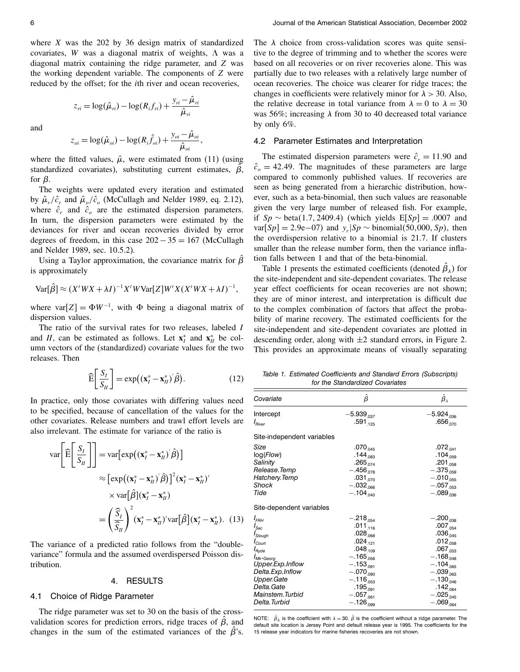where  $X$  was the 202 by 36 design matrix of standardized covariates, W was a diagonal matrix of weights,  $\Lambda$  was a diagonal matrix containing the ridge parameter, and Z was the working dependent variable. The components of  $Z$  were reduced by the offset; for the ith river and ocean recoveries,

> $z_{ri} = \log(\hat{\mu}_{ri}) - \log(R_i f_{ri}) + \frac{y_{ri} - \hat{\mu}_{ri}}{\hat{\mu}}$  $\hat{\mu}_{\scriptscriptstyle r i}$

and

$$
z_{oi} = \log(\hat{\mu}_{oi}) - \log(R_i \hat{f}_{oi}) + \frac{y_{oi} - \hat{\mu}_{oi}}{\hat{\mu}_{oi}},
$$

where the fitted values,  $\hat{\mu}$ , were estimated from (11) (using standardized covariates), substituting current estimates,  $\beta$ , for  $\beta$ .

The weights were updated every iteration and estimated by  $\hat{\mu}_r/\hat{c}_r$  and  $\hat{\mu}_o/\hat{c}_o$  (McCullagh and Nelder 1989, eq. 2.12), where  $\hat{c}_r$  and  $\hat{c}_o$  are the estimated dispersion parameters. In turn, the dispersion parameters were estimated by the deviances for river and ocean recoveries divided by error degrees of freedom, in this case  $202 - 35 = 167$  (McCullagh and Nelder 1989, sec. 10.5.2).

Using a Taylor approximation, the covariance matrix for  $\beta$ is approximately

$$
Var[\hat{\beta}] \approx (X'WX + \lambda I)^{-1}X'WVar[Z]W'X(X'WX + \lambda I)^{-1},
$$

where var $[Z] = \Phi W^{-1}$ , with  $\Phi$  being a diagonal matrix of dispersion values.

The ratio of the survival rates for two releases, labeled I and II, can be estimated as follows. Let  $\mathbf{x}_I^*$  and  $\mathbf{x}_II^*$  be column vectors of the (standardized) covariate values for the two releases.Then

$$
\widehat{\mathbf{E}}\left[\frac{S_I}{S_H}\right] = \exp\left((\mathbf{x}_I^* - \mathbf{x}_H^*)'\hat{\boldsymbol{\beta}}\right). \tag{12}
$$

In practice, only those covariates with differing values need to be specified, because of cancellation of the values for the other covariates. Release numbers and trawl effort levels are also irrelevant.The estimate for variance of the ratio is

$$
\operatorname{var}\left[\widehat{\mathbf{E}}\left[\frac{S_I}{S_H}\right]\right] = \operatorname{var}\left[\exp\left((\mathbf{x}_I^* - \mathbf{x}_H^*)'\hat{\boldsymbol{\beta}}\right)\right]
$$

$$
\approx \left[\exp\left((\mathbf{x}_I^* - \mathbf{x}_H^*)'\hat{\boldsymbol{\beta}}\right)\right]^2 (\mathbf{x}_I^* - \mathbf{x}_H^*)'
$$

$$
\times \operatorname{var}\left[\hat{\boldsymbol{\beta}}\right](\mathbf{x}_I^* - \mathbf{x}_H^*)
$$

$$
= \left(\frac{\widehat{S}_I}{\widehat{S}_H}\right)^2 (\mathbf{x}_I^* - \mathbf{x}_H^*)' \operatorname{var}\left[\hat{\boldsymbol{\beta}}\right](\mathbf{x}_I^* - \mathbf{x}_H^*).
$$
(13)

The variance of a predicted ratio follows from the "doublevariance" formula and the assumed overdispersed Poisson distribution.

#### 4. RESULTS

## 4.1 Choice of Ridge Parameter

The ridge parameter was set to 30 on the basis of the crossvalidation scores for prediction errors, ridge traces of  $\beta$ , and changes in the sum of the estimated variances of the  $\beta$ 's.

The  $\lambda$  choice from cross-validation scores was quite sensitive to the degree of trimming and to whether the scores were based on all recoveries or on river recoveries alone.This was partially due to two releases with a relatively large number of ocean recoveries.The choice was clearer for ridge traces; the changes in coefficients were relatively minor for  $\lambda > 30$ . Also, the relative decrease in total variance from  $\lambda = 0$  to  $\lambda = 30$ was 56%; increasing  $\lambda$  from 30 to 40 decreased total variance by only 6%.

#### 4.2 Parameter Estimates and Interpretation

The estimated dispersion parameters were  $\hat{c}_r = 11.90$  and  $\hat{c}_o = 42.49$ . The magnitudes of these parameters are large compared to commonly published values.If recoveries are seen as being generated from a hierarchic distribution, however, such as a beta-binomial, then such values are reasonable given the very large number of released fish. For example, if  $Sp \sim \text{beta}(1.7, 2409.4)$  (which yields  $E[Sp] = .0007$  and var $[S_p] = 2.9e-07$  and  $y_r|Sp \sim binomial(50,000, Sp)$ , then the overdispersion relative to a binomial is 21.7. If clusters smaller than the release number form, then the variance inflation falls between 1 and that of the beta-binomial.

Table 1 presents the estimated coefficients (denoted  $\beta_{\lambda}$ ) for the site-independent and site-dependent covariates.The release year effect coefficients for ocean recoveries are not shown; they are of minor interest, and interpretation is difficult due to the complex combination of factors that affect the probability of marine recovery. The estimated coefficients for the site-independent and site-dependent covariates are plotted in descending order, along with  $\pm 2$  standard errors, in Figure 2. This provides an approximate means of visually separating

Table 1. Estimated Coefficients and Standard Errors (Subscripts) for the Standardized Covariates

| Covariate                                                                                                                                                                                                         | β                                                                                                                                                                                                               | $\hat{\beta}_{\lambda}$                                                                                                                                                                                         |
|-------------------------------------------------------------------------------------------------------------------------------------------------------------------------------------------------------------------|-----------------------------------------------------------------------------------------------------------------------------------------------------------------------------------------------------------------|-----------------------------------------------------------------------------------------------------------------------------------------------------------------------------------------------------------------|
| Intercept<br>$I_{River}$                                                                                                                                                                                          | $-5.939_{.037}$<br>$.591_{.125}$                                                                                                                                                                                | $-5.924_{.036}$<br>$.656_{.070}$                                                                                                                                                                                |
| Site-independent variables                                                                                                                                                                                        |                                                                                                                                                                                                                 |                                                                                                                                                                                                                 |
| Size<br>log(Flow)<br>Salinity<br>Release.Temp<br>Hatchery. Temp<br>Shock<br>Tide                                                                                                                                  | $.070_{.045}$<br>$.144_{.083}$<br>$.265_{.074}$<br>$-.456_{.078}$<br>$.031_{.070}$<br>$-.032_{.066}$<br>$-.104_{.040}$                                                                                          | $.072_{.041}$<br>$.104_{.059}$<br>$.201_{.058}$<br>$-.375_{.059}$<br>$-.010_{.055}$<br>$-.057_{.053}$<br>$-.089_{.036}$                                                                                         |
| Site-dependent variables                                                                                                                                                                                          |                                                                                                                                                                                                                 |                                                                                                                                                                                                                 |
| $I_{FRH}$<br>$I_{\textnormal{Sac}}$<br>I <sub>Slough</sub><br>$I_{\text{Court}}$<br>$I_{Ryde}$<br>Mk-Georg<br>Upper.Exp.Inflow<br>Delta.Exp.Inflow<br>Upper.Gate<br>Delta.Gate<br>Mainstem.Turbid<br>Delta.Turbid | $-.218_{.054}$<br>$.011_{.116}$<br>$.028_{.068}$<br>$.024_{.121}$<br>$.048_{.109}$<br>$-.165_{.056}$<br>$-.153_{.091}$<br>$-.070_{.090}$<br>$-.116_{.053}$<br>$.195_{.091}$<br>$-.057_{.061}$<br>$-.126_{.099}$ | $-.200_{.038}$<br>$.007_{.054}$<br>$.036_{.045}$<br>$.012_{.058}$<br>$.067_{.053}$<br>$-.168_{.048}$<br>$-.104_{.065}$<br>$-.039_{.063}$<br>$-.130_{.046}$<br>$.142_{.064}$<br>$-.025_{.045}$<br>$-.069_{.064}$ |

NOTE:  $\beta_{\lambda}$  is the coefficient with  $\lambda = 30$ .  $\beta$  is the coefficient without a ridge parameter. The default site location is Jersey Point and default release year is 1995. The coefficients for the 15 release year indicators for marine fisheries recoveries are not shown.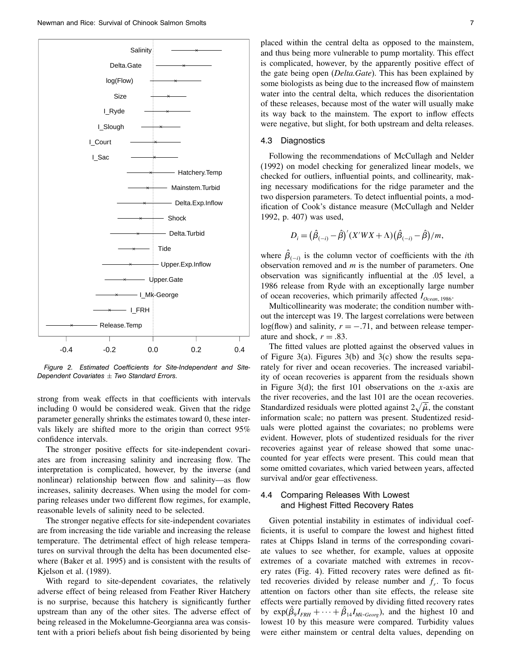

Figure 2. Estimated Coefficients for Site-Independent and Site-Dependent Covariates  $\pm$  Two Standard Errors.

strong from weak effects in that coefficients with intervals including 0 would be considered weak.Given that the ridge parameter generally shrinks the estimates toward 0, these intervals likely are shifted more to the origin than correct 95% confidence intervals.

The stronger positive effects for site-independent covariates are from increasing salinity and increasing flow.The interpretation is complicated, however, by the inverse (and nonlinear) relationship between flow and salinity—as flow increases, salinity decreases.When using the model for comparing releases under two different flow regimes, for example, reasonable levels of salinity need to be selected.

The stronger negative effects for site-independent covariates are from increasing the tide variable and increasing the release temperature. The detrimental effect of high release temperatures on survival through the delta has been documented elsewhere (Baker et al.1995) and is consistent with the results of Kjelson et al. (1989).

With regard to site-dependent covariates, the relatively adverse effect of being released from Feather River Hatchery is no surprise, because this hatchery is significantly further upstream than any of the other sites.The adverse effect of being released in the Mokelumne-Georgianna area was consistent with a priori beliefs about fish being disoriented by being

placed within the central delta as opposed to the mainstem, and thus being more vulnerable to pump mortality.This effect is complicated, however, by the apparently positive effect of the gate being open (*Delta.Gate*). This has been explained by some biologists as being due to the increased flow of mainstem water into the central delta, which reduces the disorientation of these releases, because most of the water will usually make its way back to the mainstem.The export to inflow effects were negative, but slight, for both upstream and delta releases.

#### 4.3 Diagnostics

Following the recommendations of McCullagh and Nelder (1992) on model checking for generalized linear models, we checked for outliers, influential points, and collinearity, making necessary modifications for the ridge parameter and the two dispersion parameters.To detect influential points, a modification of Cook's distance measure (McCullagh and Nelder 1992, p.407) was used,

$$
D_i = (\hat{\beta}_{(-i)} - \hat{\beta})' (X'WX + \Lambda)(\hat{\beta}_{(-i)} - \hat{\beta})/m,
$$

where  $\beta_{(-i)}$  is the column vector of coefficients with the *i*th observation removed and  $m$  is the number of parameters. One observation was significantly influential at the .05 level, a 1986 release from Ryde with an exceptionally large number of ocean recoveries, which primarily affected  $I_{Ocean, 1986}$ .

Multicollinearity was moderate; the condition number without the intercept was 19.The largest correlations were between log(flow) and salinity,  $r = -.71$ , and between release temperature and shock,  $r = .83$ .

The fitted values are plotted against the observed values in of Figure 3(a). Figures 3(b) and 3(c) show the results separately for river and ocean recoveries. The increased variability of ocean recoveries is apparent from the residuals shown in Figure 3(d); the first 101 observations on the x-axis are the river recoveries, and the last 101 are the ocean recoveries. Standardized residuals were plotted against  $2\sqrt{\hat{\mu}}$ , the constant information scale; no pattern was present. Studentized residuals were plotted against the covariates; no problems were evident.However, plots of studentized residuals for the river recoveries against year of release showed that some unaccounted for year effects were present.This could mean that some omitted covariates, which varied between years, affected survival and/or gear effectiveness.

## 4.4 Comparing Releases With Lowest and Highest Fitted Recovery Rates

Given potential instability in estimates of individual coefficients, it is useful to compare the lowest and highest fitted rates at Chipps Island in terms of the corresponding covariate values to see whether, for example, values at opposite extremes of a covariate matched with extremes in recovery rates (Fig. 4). Fitted recovery rates were defined as fitted recoveries divided by release number and  $f_r$ . To focus attention on factors other than site effects, the release site effects were partially removed by dividing fitted recovery rates by  $\exp(\beta_9 I_{FRH} + \cdots + \beta_{14} I_{Mk-Georg})$ , and the highest 10 and lowest 10 by this measure were compared. Turbidity values were either mainstem or central delta values, depending on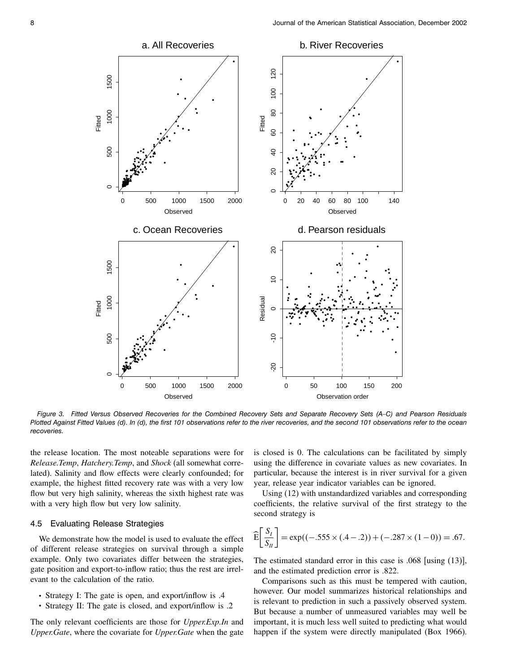

Figure 3. Fitted Versus Observed Recoveries for the Combined Recovery Sets and Separate Recovery Sets (A–C) and Pearson Residuals Plotted Against Fitted Values (d). In (d), the first 101 observations refer to the river recoveries, and the second 101 observations refer to the ocean recoveries.

the release location.The most noteable separations were for Release.Temp, Hatchery.Temp, and Shock (all somewhat correlated). Salinity and flow effects were clearly confounded; for example, the highest fitted recovery rate was with a very low flow but very high salinity, whereas the sixth highest rate was with a very high flow but very low salinity.

## 4.5 Evaluating Release Strategies

We demonstrate how the model is used to evaluate the effect of different release strategies on survival through a simple example. Only two covariates differ between the strategies, gate position and export-to-inflow ratio; thus the rest are irrelevant to the calculation of the ratio.

- Strategy I: The gate is open, and export/inflow is .4
- Strategy II: The gate is closed, and export/inflow is .2

The only relevant coefficients are those for *Upper.Exp.In* and Upper.Gate, where the covariate for Upper.Gate when the gate

is closed is 0.The calculations can be facilitated by simply using the difference in covariate values as new covariates. In particular, because the interest is in river survival for a given year, release year indicator variables can be ignored.

Using (12) with unstandardized variables and corresponding coefficients, the relative survival of the first strategy to the second strategy is

$$
\widehat{\mathbf{E}}\bigg[\frac{S_I}{S_H}\bigg] = \exp((-.555 \times (.4 - .2)) + (-.287 \times (1 - 0)) = .67.
$$

The estimated standard error in this case is .068 [using (13)], and the estimated prediction error is .822.

Comparisons such as this must be tempered with caution, however. Our model summarizes historical relationships and is relevant to prediction in such a passively observed system. But because a number of unmeasured variables may well be important, it is much less well suited to predicting what would happen if the system were directly manipulated (Box 1966).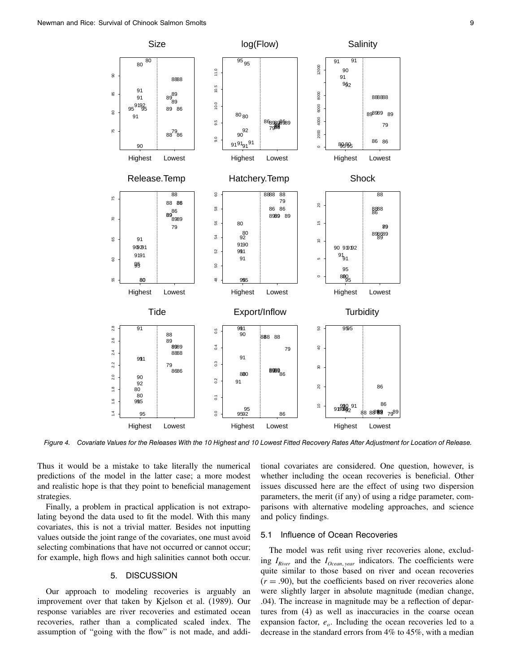

Figure 4. Covariate Values for the Releases With the 10 Highest and 10 Lowest Fitted Recovery Rates After Adjustment for Location of Release.

Thus it would be a mistake to take literally the numerical predictions of the model in the latter case; a more modest and realistic hope is that they point to beneficial management strategies.

Finally, a problem in practical application is not extrapolating beyond the data used to fit the model.With this many covariates, this is not a trivial matter.Besides not inputting values outside the joint range of the covariates, one must avoid selecting combinations that have not occurred or cannot occur; for example, high flows and high salinities cannot both occur.

## 5. DISCUSSION

Our approach to modeling recoveries is arguably an improvement over that taken by Kjelson et al. (1989). Our response variables are river recoveries and estimated ocean recoveries, rather than a complicated scaled index.The assumption of "going with the flow" is not made, and additional covariates are considered. One question, however, is whether including the ocean recoveries is beneficial. Other issues discussed here are the effect of using two dispersion parameters, the merit (if any) of using a ridge parameter, comparisons with alternative modeling approaches, and science and policy findings.

## 5.1 Influence of Ocean Recoveries

The model was refit using river recoveries alone, excluding  $I_{River}$  and the  $I_{Ocean, year}$  indicators. The coefficients were quite similar to those based on river and ocean recoveries  $(r = .90)$ , but the coefficients based on river recoveries alone were slightly larger in absolute magnitude (median change, .04). The increase in magnitude may be a reflection of departures from (4) as well as inaccuracies in the coarse ocean expansion factor,  $e<sub>o</sub>$ . Including the ocean recoveries led to a decrease in the standard errors from 4% to 45%, with a median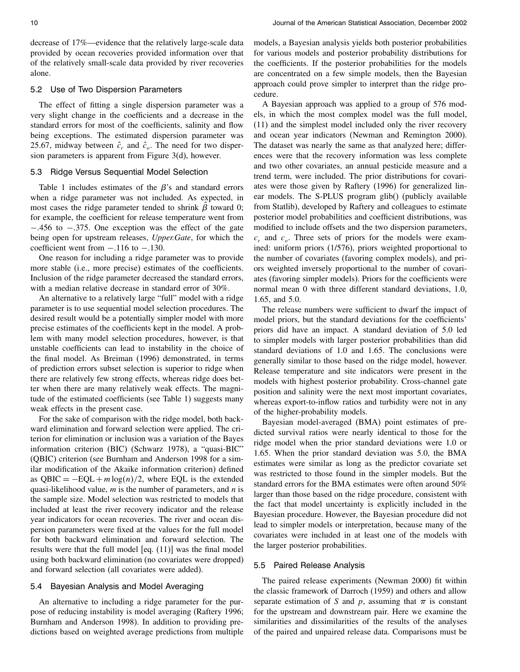decrease of 17%—evidence that the relatively large-scale data provided by ocean recoveries provided information over that of the relatively small-scale data provided by river recoveries alone.

## 5.2 Use of Two Dispersion Parameters

The effect of fitting a single dispersion parameter was a very slight change in the coefficients and a decrease in the standard errors for most of the coefficients, salinity and flow being exceptions. The estimated dispersion parameter was 25.67, midway between  $\hat{c}_r$  and  $\hat{c}_o$ . The need for two dispersion parameters is apparent from Figure 3(d), however.

#### 5.3 Ridge Versus Sequential Model Selection

Table 1 includes estimates of the  $\beta$ 's and standard errors when a ridge parameter was not included. As expected, in most cases the ridge parameter tended to shrink  $\beta$  toward 0; for example, the coefficient for release temperature went from − 456 to − 375.One exception was the effect of the gate being open for upstream releases, Upper.Gate, for which the coefficient went from  $-.116$  to  $-.130$ .

One reason for including a ridge parameter was to provide more stable (i.e., more precise) estimates of the coefficients. Inclusion of the ridge parameter decreased the standard errors, with a median relative decrease in standard error of 30%.

An alternative to a relatively large "full" model with a ridge parameter is to use sequential model selection procedures.The desired result would be a potentially simpler model with more precise estimates of the coefficients kept in the model.A problem with many model selection procedures, however, is that unstable coefficients can lead to instability in the choice of the final model.As Breiman (1996) demonstrated, in terms of prediction errors subset selection is superior to ridge when there are relatively few strong effects, whereas ridge does better when there are many relatively weak effects.The magnitude of the estimated coefficients (see Table 1) suggests many weak effects in the present case.

For the sake of comparison with the ridge model, both backward elimination and forward selection were applied. The criterion for elimination or inclusion was a variation of the Bayes information criterion (BIC) (Schwarz 1978), a "quasi-BIC" (QBIC) criterion (see Burnham and Anderson 1998 for a similar modification of the Akaike information criterion) defined as  $QBIC = -EQL + m \log(n)/2$ , where EQL is the extended quasi-likelihood value,  $m$  is the number of parameters, and  $n$  is the sample size. Model selection was restricted to models that included at least the river recovery indicator and the release year indicators for ocean recoveries. The river and ocean dispersion parameters were fixed at the values for the full model for both backward elimination and forward selection.The results were that the full model [eq.(11)] was the final model using both backward elimination (no covariates were dropped) and forward selection (all covariates were added).

### 5.4 Bayesian Analysis and Model Averaging

An alternative to including a ridge parameter for the purpose of reducing instability is model averaging (Raftery 1996; Burnham and Anderson 1998). In addition to providing predictions based on weighted average predictions from multiple

models, a Bayesian analysis yields both posterior probabilities for various models and posterior probability distributions for the coefficients. If the posterior probabilities for the models are concentrated on a few simple models, then the Bayesian approach could prove simpler to interpret than the ridge procedure.

A Bayesian approach was applied to a group of 576 models, in which the most complex model was the full model, (11) and the simplest model included only the river recovery and ocean year indicators (Newman and Remington 2000). The dataset was nearly the same as that analyzed here; differences were that the recovery information was less complete and two other covariates, an annual pesticide measure and a trend term, were included.The prior distributions for covariates were those given by Raftery (1996) for generalized linear models.The S-PLUS program glib() (publicly available from Statlib), developed by Raftery and colleagues to estimate posterior model probabilities and coefficient distributions, was modified to include offsets and the two dispersion parameters,  $c_r$  and  $c_o$ . Three sets of priors for the models were examined: uniform priors (1/576), priors weighted proportional to the number of covariates (favoring complex models), and priors weighted inversely proportional to the number of covariates (favoring simpler models). Priors for the coefficients were normal mean 0 with three different standard deviations, 1.0, 1.65, and 5.0.

The release numbers were sufficient to dwarf the impact of model priors, but the standard deviations for the coefficients' priors did have an impact. A standard deviation of 5.0 led to simpler models with larger posterior probabilities than did standard deviations of 1.0 and 1.65. The conclusions were generally similar to those based on the ridge model, however. Release temperature and site indicators were present in the models with highest posterior probability.Cross-channel gate position and salinity were the next most important covariates, whereas export-to-inflow ratios and turbidity were not in any of the higher-probability models.

Bayesian model-averaged (BMA) point estimates of predicted survival ratios were nearly identical to those for the ridge model when the prior standard deviations were 1.0 or 1.65. When the prior standard deviation was 5.0, the BMA estimates were similar as long as the predictor covariate set was restricted to those found in the simpler models. But the standard errors for the BMA estimates were often around 50% larger than those based on the ridge procedure, consistent with the fact that model uncertainty is explicitly included in the Bayesian procedure. However, the Bayesian procedure did not lead to simpler models or interpretation, because many of the covariates were included in at least one of the models with the larger posterior probabilities.

#### 5.5 Paired Release Analysis

The paired release experiments (Newman 2000) fit within the classic framework of Darroch (1959) and others and allow separate estimation of S and  $p$ , assuming that  $\pi$  is constant for the upstream and downstream pair. Here we examine the similarities and dissimilarities of the results of the analyses of the paired and unpaired release data.Comparisons must be